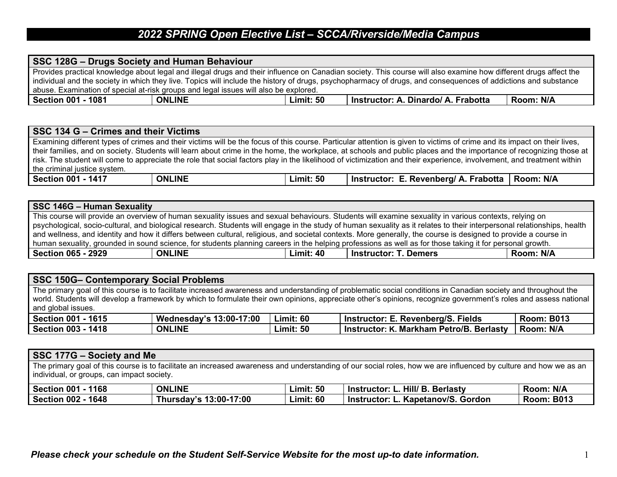## *2022 SPRING Open Elective List – SCCA/Riverside/Media Campus*

| SSC 128G - Drugs Society and Human Behaviour                                                                                                                     |               |           |                                     |           |
|------------------------------------------------------------------------------------------------------------------------------------------------------------------|---------------|-----------|-------------------------------------|-----------|
| Provides practical knowledge about legal and illegal drugs and their influence on Canadian society. This course will also examine how different drugs affect the |               |           |                                     |           |
| individual and the society in which they live. Topics will include the history of drugs, psychopharmacy of drugs, and consequences of addictions and substance   |               |           |                                     |           |
| abuse. Examination of special at-risk groups and legal issues will also be explored.                                                                             |               |           |                                     |           |
| Section 001 - 1081                                                                                                                                               | <b>ONLINE</b> | Limit: 50 | Instructor: A. Dinardo/ A. Frabotta | Room: N/A |

| SSC 134 G – Crimes and their Victims                                                                                                                                     |               |                  |                                                                                                                                                                     |  |  |  |
|--------------------------------------------------------------------------------------------------------------------------------------------------------------------------|---------------|------------------|---------------------------------------------------------------------------------------------------------------------------------------------------------------------|--|--|--|
| Examining different types of crimes and their victims will be the focus of this course. Particular attention is given to victims of crime and its impact on their lives, |               |                  |                                                                                                                                                                     |  |  |  |
|                                                                                                                                                                          |               |                  | their families, and on society. Students will learn about crime in the home, the workplace, at schools and public places and the importance of recognizing those at |  |  |  |
| I risk. The student will come to appreciate the role that social factors play in the likelihood of victimization and their experience, involvement, and treatment within |               |                  |                                                                                                                                                                     |  |  |  |
| I the criminal justice system.                                                                                                                                           |               |                  |                                                                                                                                                                     |  |  |  |
| Section 001 - 1417                                                                                                                                                       | <b>ONLINE</b> | <b>Limit: 50</b> | Instructor: E. Revenberg/ A. Frabotta   Room: N/A                                                                                                                   |  |  |  |

| SSC 146G - Human Sexuality                                                                                                                                      |               |           |                                                                                                                                                                         |           |  |
|-----------------------------------------------------------------------------------------------------------------------------------------------------------------|---------------|-----------|-------------------------------------------------------------------------------------------------------------------------------------------------------------------------|-----------|--|
| This course will provide an overview of human sexuality issues and sexual behaviours. Students will examine sexuality in various contexts, relying on           |               |           |                                                                                                                                                                         |           |  |
|                                                                                                                                                                 |               |           | psychological, socio-cultural, and biological research. Students will engage in the study of human sexuality as it relates to their interpersonal relationships, health |           |  |
| and wellness, and identity and how it differs between cultural, religious, and societal contexts. More generally, the course is designed to provide a course in |               |           |                                                                                                                                                                         |           |  |
| human sexuality, grounded in sound science, for students planning careers in the helping professions as well as for those taking it for personal growth.        |               |           |                                                                                                                                                                         |           |  |
| Section 065 - 2929                                                                                                                                              | <b>ONLINE</b> | Limit: 40 | <b>Instructor: T. Demers</b>                                                                                                                                            | Room: N/A |  |

| SSC 150G- Contemporary Social Problems                                                                                                                                                                                                                                                                                                                   |                                |           |                                          |                   |  |
|----------------------------------------------------------------------------------------------------------------------------------------------------------------------------------------------------------------------------------------------------------------------------------------------------------------------------------------------------------|--------------------------------|-----------|------------------------------------------|-------------------|--|
| The primary goal of this course is to facilitate increased awareness and understanding of problematic social conditions in Canadian society and throughout the<br>world. Students will develop a framework by which to formulate their own opinions, appreciate other's opinions, recognize government's roles and assess national<br>and global issues. |                                |           |                                          |                   |  |
| <b>Section 001 - 1615</b>                                                                                                                                                                                                                                                                                                                                | <b>Wednesday's 13:00-17:00</b> | Limit: 60 | Instructor: E. Revenberg/S. Fields       | <b>Room: B013</b> |  |
| <b>Section 003 - 1418</b>                                                                                                                                                                                                                                                                                                                                | <b>ONLINE</b>                  | Limit: 50 | Instructor: K. Markham Petro/B. Berlasty | Room: N/A         |  |

| SSC 177G – Society and Me                                                                                                                                                                                      |                        |                  |                                    |                   |  |
|----------------------------------------------------------------------------------------------------------------------------------------------------------------------------------------------------------------|------------------------|------------------|------------------------------------|-------------------|--|
| The primary goal of this course is to facilitate an increased awareness and understanding of our social roles, how we are influenced by culture and how we as an<br>individual, or groups, can impact society. |                        |                  |                                    |                   |  |
| Section 001 - 1168                                                                                                                                                                                             | <b>ONLINE</b>          | <b>Limit: 50</b> | Instructor: L. Hill/ B. Berlasty   | Room: N/A         |  |
| Section 002 - 1648                                                                                                                                                                                             | Thursday's 13:00-17:00 | <b>Limit: 60</b> | Instructor: L. Kapetanov/S. Gordon | <b>Room: B013</b> |  |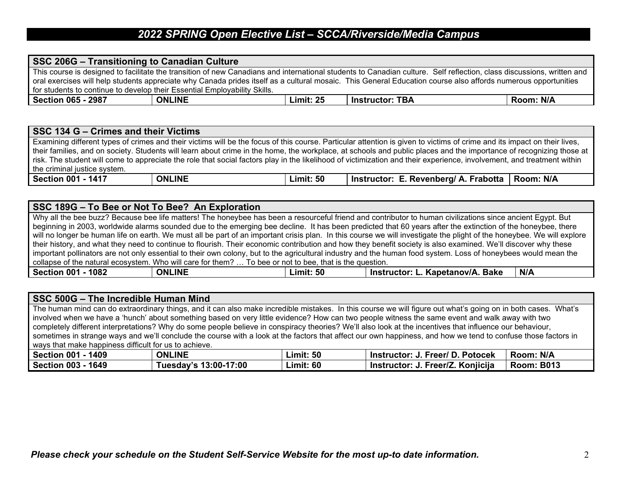### *2022 SPRING Open Elective List – SCCA/Riverside/Media Campus*

| SSC 206G - Transitioning to Canadian Culture                                                                                                                          |               |           |                                                                                                                                                                 |           |
|-----------------------------------------------------------------------------------------------------------------------------------------------------------------------|---------------|-----------|-----------------------------------------------------------------------------------------------------------------------------------------------------------------|-----------|
| This course is designed to facilitate the transition of new Canadians and international students to Canadian culture. Self reflection, class discussions, written and |               |           |                                                                                                                                                                 |           |
|                                                                                                                                                                       |               |           | l oral exercises will help students appreciate why Canada prides itself as a cultural mosaic. This General Education course also affords numerous opportunities |           |
| <sup>1</sup> for students to continue to develop their Essential Employability Skills.                                                                                |               |           |                                                                                                                                                                 |           |
| <b>Section 065 - 2987</b>                                                                                                                                             | <b>ONLINE</b> | Limit: 25 | <b>Instructor: TBA</b>                                                                                                                                          | Room: N/A |

#### **SSC 134 G – Crimes and their Victims** Examining different types of crimes and their victims will be the focus of this course. Particular attention is given to victims of crime and its impact on their lives, their families, and on society. Students will learn about crime in the home, the workplace, at schools and public places and the importance of recognizing those at risk. The student will come to appreciate the role that social factors play in the likelihood of victimization and their experience, involvement, and treatment within the criminal justice system. **Section 001 - 1417 ONLINE Limit: 50 Instructor: E. Revenberg/ A. Frabotta Room: N/A**

#### **SSC 189G – To Bee or Not To Bee? An Exploration**

Why all the bee buzz? Because bee life matters! The honeybee has been a resourceful friend and contributor to human civilizations since ancient Egypt. But beginning in 2003, worldwide alarms sounded due to the emerging bee decline. It has been predicted that 60 years after the extinction of the honeybee, there will no longer be human life on earth. We must all be part of an important crisis plan. In this course we will investigate the plight of the honeybee. We will explore their history, and what they need to continue to flourish. Their economic contribution and how they benefit society is also examined. We'll discover why these important pollinators are not only essential to their own colony, but to the agricultural industry and the human food system. Loss of honeybees would mean the collapse of the natural ecosystem. Who will care for them? … To bee or not to bee, that is the question. **Section 001 - 1082 ONLINE Limit: 50 Instructor: L. Kapetanov/A. Bake N/A**

| SSC 500G - The Incredible Human Mind                                                                                                                          |                       |                  |                                                                                                                                                               |                   |  |  |
|---------------------------------------------------------------------------------------------------------------------------------------------------------------|-----------------------|------------------|---------------------------------------------------------------------------------------------------------------------------------------------------------------|-------------------|--|--|
|                                                                                                                                                               |                       |                  | The human mind can do extraordinary things, and it can also make incredible mistakes. In this course we will figure out what's going on in both cases. What's |                   |  |  |
|                                                                                                                                                               |                       |                  | involved when we have a 'hunch' about something based on very little evidence? How can two people witness the same event and walk away with two               |                   |  |  |
|                                                                                                                                                               |                       |                  | completely different interpretations? Why do some people believe in conspiracy theories? We'll also look at the incentives that influence our behaviour,      |                   |  |  |
| sometimes in strange ways and we'll conclude the course with a look at the factors that affect our own happiness, and how we tend to confuse those factors in |                       |                  |                                                                                                                                                               |                   |  |  |
| ways that make happiness difficult for us to achieve.                                                                                                         |                       |                  |                                                                                                                                                               |                   |  |  |
| Section 001 - 1409                                                                                                                                            | <b>ONLINE</b>         | <b>Limit: 50</b> | Instructor: J. Freer/ D. Potocek                                                                                                                              | Room: N/A         |  |  |
| Section 003 - 1649                                                                                                                                            | Tuesday's 13:00-17:00 | <b>Limit: 60</b> | Instructor: J. Freer/Z. Konjicija                                                                                                                             | <b>Room: B013</b> |  |  |